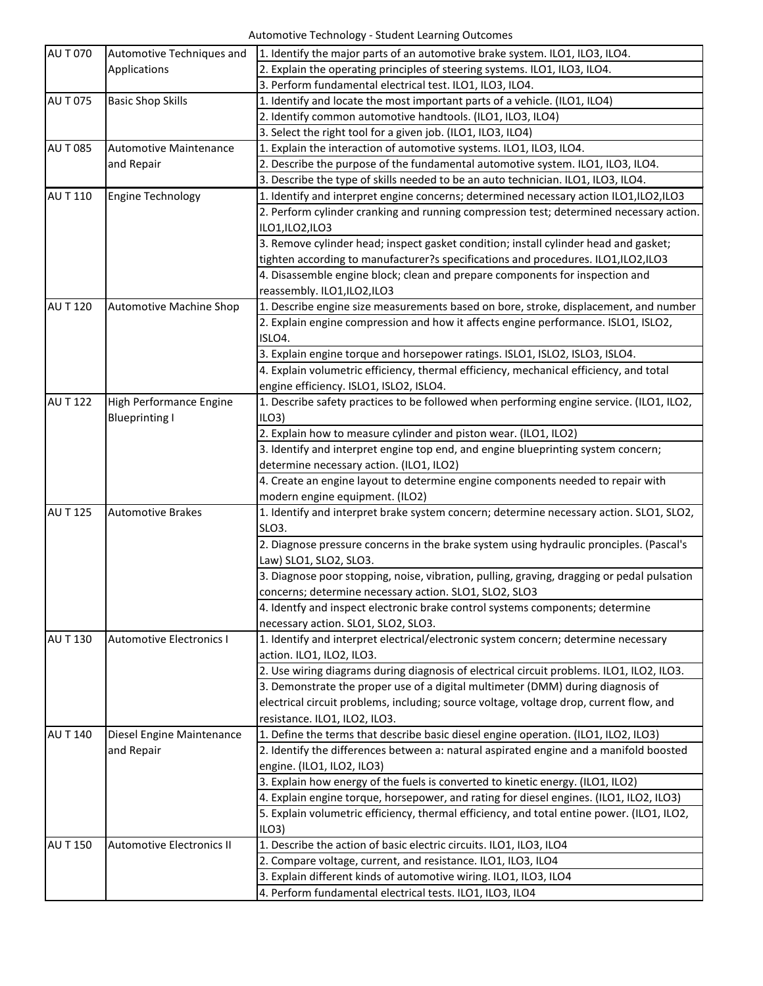| <b>AUT070</b>   | Automotive Techniques and        | 1. Identify the major parts of an automotive brake system. ILO1, ILO3, ILO4.               |
|-----------------|----------------------------------|--------------------------------------------------------------------------------------------|
|                 | Applications                     | 2. Explain the operating principles of steering systems. ILO1, ILO3, ILO4.                 |
|                 |                                  | 3. Perform fundamental electrical test. ILO1, ILO3, ILO4.                                  |
| <b>AUT075</b>   | <b>Basic Shop Skills</b>         | 1. Identify and locate the most important parts of a vehicle. (ILO1, ILO4)                 |
|                 |                                  | 2. Identify common automotive handtools. (ILO1, ILO3, ILO4)                                |
|                 |                                  | 3. Select the right tool for a given job. (ILO1, ILO3, ILO4)                               |
| <b>AU T 085</b> | <b>Automotive Maintenance</b>    | 1. Explain the interaction of automotive systems. ILO1, ILO3, ILO4.                        |
|                 | and Repair                       | 2. Describe the purpose of the fundamental automotive system. ILO1, ILO3, ILO4.            |
|                 |                                  | 3. Describe the type of skills needed to be an auto technician. ILO1, ILO3, ILO4.          |
| AU T 110        | <b>Engine Technology</b>         | 1. Identify and interpret engine concerns; determined necessary action ILO1,ILO2,ILO3      |
|                 |                                  | 2. Perform cylinder cranking and running compression test; determined necessary action.    |
|                 |                                  | ILO1, ILO2, ILO3                                                                           |
|                 |                                  | 3. Remove cylinder head; inspect gasket condition; install cylinder head and gasket;       |
|                 |                                  | tighten according to manufacturer?s specifications and procedures. ILO1,ILO2,ILO3          |
|                 |                                  | 4. Disassemble engine block; clean and prepare components for inspection and               |
|                 |                                  | reassembly. ILO1,ILO2,ILO3                                                                 |
| <b>AU T 120</b> | <b>Automotive Machine Shop</b>   | 1. Describe engine size measurements based on bore, stroke, displacement, and number       |
|                 |                                  | 2. Explain engine compression and how it affects engine performance. ISLO1, ISLO2,         |
|                 |                                  | ISLO4.                                                                                     |
|                 |                                  | 3. Explain engine torque and horsepower ratings. ISLO1, ISLO2, ISLO3, ISLO4.               |
|                 |                                  | 4. Explain volumetric efficiency, thermal efficiency, mechanical efficiency, and total     |
|                 |                                  | engine efficiency. ISLO1, ISLO2, ISLO4.                                                    |
| <b>AU T 122</b> | High Performance Engine          | 1. Describe safety practices to be followed when performing engine service. (ILO1, ILO2,   |
|                 | <b>Blueprinting I</b>            | ILO3                                                                                       |
|                 |                                  | 2. Explain how to measure cylinder and piston wear. (ILO1, ILO2)                           |
|                 |                                  | 3. Identify and interpret engine top end, and engine blueprinting system concern;          |
|                 |                                  | determine necessary action. (ILO1, ILO2)                                                   |
|                 |                                  | 4. Create an engine layout to determine engine components needed to repair with            |
|                 |                                  | modern engine equipment. (ILO2)                                                            |
| <b>AU T 125</b> | <b>Automotive Brakes</b>         | 1. Identify and interpret brake system concern; determine necessary action. SLO1, SLO2,    |
|                 |                                  | SLO3.                                                                                      |
|                 |                                  | 2. Diagnose pressure concerns in the brake system using hydraulic pronciples. (Pascal's    |
|                 |                                  | Law) SLO1, SLO2, SLO3.                                                                     |
|                 |                                  | 3. Diagnose poor stopping, noise, vibration, pulling, graving, dragging or pedal pulsation |
|                 |                                  | concerns; determine necessary action. SLO1, SLO2, SLO3                                     |
|                 |                                  | 4. Identfy and inspect electronic brake control systems components; determine              |
|                 |                                  | necessary action. SLO1, SLO2, SLO3.                                                        |
| AU T 130        | <b>Automotive Electronics I</b>  | 1. Identify and interpret electrical/electronic system concern; determine necessary        |
|                 |                                  | action. ILO1, ILO2, ILO3.                                                                  |
|                 |                                  | 2. Use wiring diagrams during diagnosis of electrical circuit problems. ILO1, ILO2, ILO3.  |
|                 |                                  | 3. Demonstrate the proper use of a digital multimeter (DMM) during diagnosis of            |
|                 |                                  | electrical circuit problems, including; source voltage, voltage drop, current flow, and    |
|                 |                                  | resistance. ILO1, ILO2, ILO3.                                                              |
| <b>AU T 140</b> | Diesel Engine Maintenance        | 1. Define the terms that describe basic diesel engine operation. (ILO1, ILO2, ILO3)        |
|                 | and Repair                       | 2. Identify the differences between a: natural aspirated engine and a manifold boosted     |
|                 |                                  | engine. (ILO1, ILO2, ILO3)                                                                 |
|                 |                                  | 3. Explain how energy of the fuels is converted to kinetic energy. (ILO1, ILO2)            |
|                 |                                  | 4. Explain engine torque, horsepower, and rating for diesel engines. (ILO1, ILO2, ILO3)    |
|                 |                                  | 5. Explain volumetric efficiency, thermal efficiency, and total entine power. (ILO1, ILO2, |
|                 |                                  | ILO3)                                                                                      |
| <b>AUT150</b>   | <b>Automotive Electronics II</b> | 1. Describe the action of basic electric circuits. ILO1, ILO3, ILO4                        |
|                 |                                  | 2. Compare voltage, current, and resistance. ILO1, ILO3, ILO4                              |
|                 |                                  | 3. Explain different kinds of automotive wiring. ILO1, ILO3, ILO4                          |
|                 |                                  | 4. Perform fundamental electrical tests. ILO1, ILO3, ILO4                                  |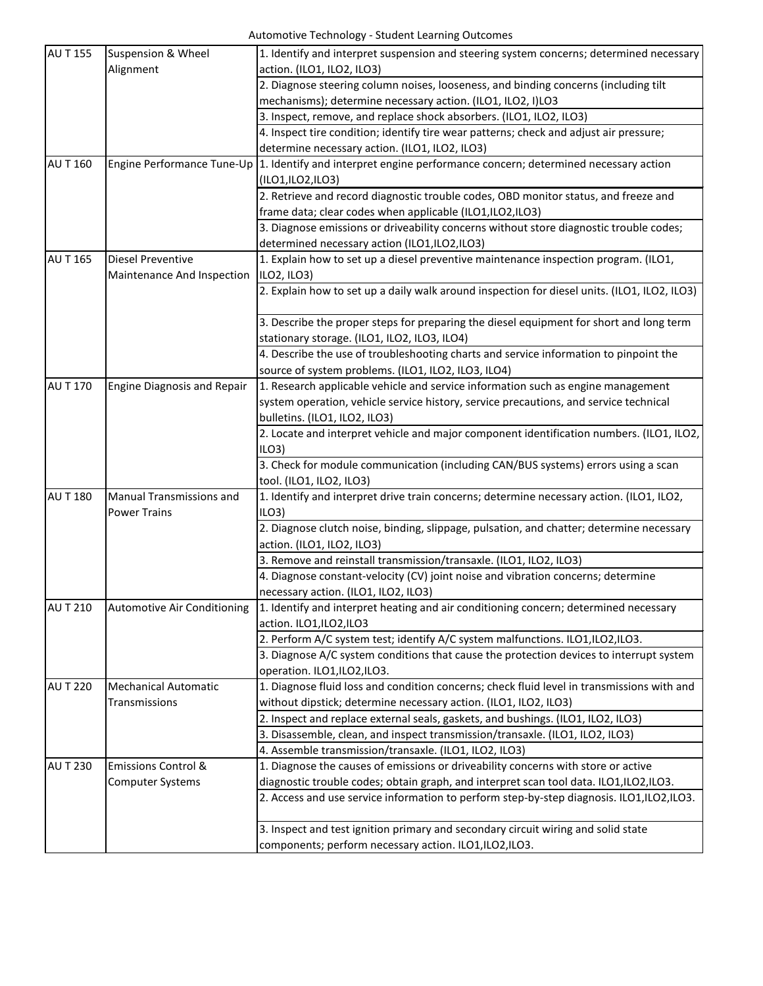## Automotive Technology - Student Learning Outcomes

| <b>AUT155</b>   |                                    |                                                                                              |
|-----------------|------------------------------------|----------------------------------------------------------------------------------------------|
|                 | <b>Suspension &amp; Wheel</b>      | 1. Identify and interpret suspension and steering system concerns; determined necessary      |
|                 | Alignment                          | action. (ILO1, ILO2, ILO3)                                                                   |
|                 |                                    | 2. Diagnose steering column noises, looseness, and binding concerns (including tilt          |
|                 |                                    | mechanisms); determine necessary action. (ILO1, ILO2, I)LO3                                  |
|                 |                                    | 3. Inspect, remove, and replace shock absorbers. (ILO1, ILO2, ILO3)                          |
|                 |                                    | 4. Inspect tire condition; identify tire wear patterns; check and adjust air pressure;       |
|                 |                                    | determine necessary action. (ILO1, ILO2, ILO3)                                               |
| <b>AU T 160</b> | Engine Performance Tune-Up         | 1. Identify and interpret engine performance concern; determined necessary action            |
|                 |                                    | (ILO1,ILO2,ILO3)                                                                             |
|                 |                                    | 2. Retrieve and record diagnostic trouble codes, OBD monitor status, and freeze and          |
|                 |                                    | frame data; clear codes when applicable (ILO1,ILO2,ILO3)                                     |
|                 |                                    | 3. Diagnose emissions or driveability concerns without store diagnostic trouble codes;       |
|                 |                                    | determined necessary action (ILO1,ILO2,ILO3)                                                 |
| <b>AU T 165</b> | <b>Diesel Preventive</b>           | 1. Explain how to set up a diesel preventive maintenance inspection program. (ILO1,          |
|                 | Maintenance And Inspection         | ILO2, ILO3)                                                                                  |
|                 |                                    | 2. Explain how to set up a daily walk around inspection for diesel units. (ILO1, ILO2, ILO3) |
|                 |                                    |                                                                                              |
|                 |                                    | 3. Describe the proper steps for preparing the diesel equipment for short and long term      |
|                 |                                    | stationary storage. (ILO1, ILO2, ILO3, ILO4)                                                 |
|                 |                                    | 4. Describe the use of troubleshooting charts and service information to pinpoint the        |
|                 |                                    | source of system problems. (ILO1, ILO2, ILO3, ILO4)                                          |
| <b>AU T 170</b> | <b>Engine Diagnosis and Repair</b> | 1. Research applicable vehicle and service information such as engine management             |
|                 |                                    | system operation, vehicle service history, service precautions, and service technical        |
|                 |                                    | bulletins. (ILO1, ILO2, ILO3)                                                                |
|                 |                                    | 2. Locate and interpret vehicle and major component identification numbers. (ILO1, ILO2,     |
|                 |                                    | ILO3                                                                                         |
|                 |                                    | 3. Check for module communication (including CAN/BUS systems) errors using a scan            |
|                 |                                    | tool. (ILO1, ILO2, ILO3)                                                                     |
| <b>AU T 180</b> | <b>Manual Transmissions and</b>    | 1. Identify and interpret drive train concerns; determine necessary action. (ILO1, ILO2,     |
|                 | <b>Power Trains</b>                | ILO3                                                                                         |
|                 |                                    | 2. Diagnose clutch noise, binding, slippage, pulsation, and chatter; determine necessary     |
|                 |                                    | action. (ILO1, ILO2, ILO3)                                                                   |
|                 |                                    | 3. Remove and reinstall transmission/transaxle. (ILO1, ILO2, ILO3)                           |
|                 |                                    | 4. Diagnose constant-velocity (CV) joint noise and vibration concerns; determine             |
|                 |                                    | necessary action. (ILO1, ILO2, ILO3)                                                         |
| <b>AUT210</b>   | Automotive Air Conditioning        | 1. Identify and interpret heating and air conditioning concern; determined necessary         |
|                 |                                    | action. ILO1,ILO2,ILO3                                                                       |
|                 |                                    | 2. Perform A/C system test; identify A/C system malfunctions. ILO1,ILO2,ILO3.                |
|                 |                                    |                                                                                              |
|                 |                                    | 3. Diagnose A/C system conditions that cause the protection devices to interrupt system      |
|                 |                                    | operation. ILO1,ILO2,ILO3.                                                                   |
| <b>AU T 220</b> | <b>Mechanical Automatic</b>        | 1. Diagnose fluid loss and condition concerns; check fluid level in transmissions with and   |
|                 | Transmissions                      | without dipstick; determine necessary action. (ILO1, ILO2, ILO3)                             |
|                 |                                    | 2. Inspect and replace external seals, gaskets, and bushings. (ILO1, ILO2, ILO3)             |
|                 |                                    | 3. Disassemble, clean, and inspect transmission/transaxle. (ILO1, ILO2, ILO3)                |
|                 |                                    | 4. Assemble transmission/transaxle. (ILO1, ILO2, ILO3)                                       |
| <b>AU T 230</b> | <b>Emissions Control &amp;</b>     | 1. Diagnose the causes of emissions or driveability concerns with store or active            |
|                 | <b>Computer Systems</b>            | diagnostic trouble codes; obtain graph, and interpret scan tool data. ILO1,ILO2,ILO3.        |
|                 |                                    | 2. Access and use service information to perform step-by-step diagnosis. ILO1, ILO2, ILO3.   |
|                 |                                    |                                                                                              |
|                 |                                    | 3. Inspect and test ignition primary and secondary circuit wiring and solid state            |
|                 |                                    | components; perform necessary action. ILO1,ILO2,ILO3.                                        |